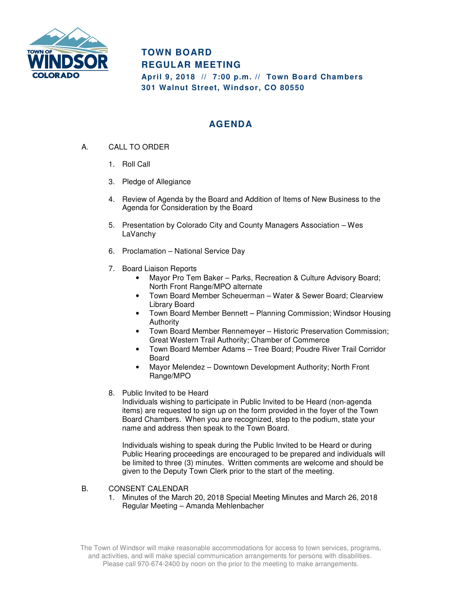

## **TOWN BOARD REGULAR MEETING**

**April 9, 2018 // 7:00 p.m. // Town Board Chambers 301 Walnut Street, Windsor, CO 80550** 

## **AGENDA**

- A. CALL TO ORDER
	- 1. Roll Call
	- 3. Pledge of Allegiance
	- 4. Review of Agenda by the Board and Addition of Items of New Business to the Agenda for Consideration by the Board
	- 5. Presentation by Colorado City and County Managers Association Wes LaVanchy
	- 6. Proclamation National Service Day
	- 7. Board Liaison Reports
		- Mayor Pro Tem Baker Parks, Recreation & Culture Advisory Board; North Front Range/MPO alternate
		- Town Board Member Scheuerman Water & Sewer Board; Clearview Library Board
		- Town Board Member Bennett Planning Commission; Windsor Housing Authority
		- Town Board Member Rennemeyer Historic Preservation Commission; Great Western Trail Authority; Chamber of Commerce
		- Town Board Member Adams Tree Board; Poudre River Trail Corridor Board
		- Mayor Melendez Downtown Development Authority; North Front Range/MPO
	- 8. Public Invited to be Heard

Individuals wishing to participate in Public Invited to be Heard (non-agenda items) are requested to sign up on the form provided in the foyer of the Town Board Chambers. When you are recognized, step to the podium, state your name and address then speak to the Town Board.

Individuals wishing to speak during the Public Invited to be Heard or during Public Hearing proceedings are encouraged to be prepared and individuals will be limited to three (3) minutes. Written comments are welcome and should be given to the Deputy Town Clerk prior to the start of the meeting.

## B. CONSENT CALENDAR

1. Minutes of the March 20, 2018 Special Meeting Minutes and March 26, 2018 Regular Meeting – Amanda Mehlenbacher

The Town of Windsor will make reasonable accommodations for access to town services, programs, and activities, and will make special communication arrangements for persons with disabilities. Please call 970-674-2400 by noon on the prior to the meeting to make arrangements.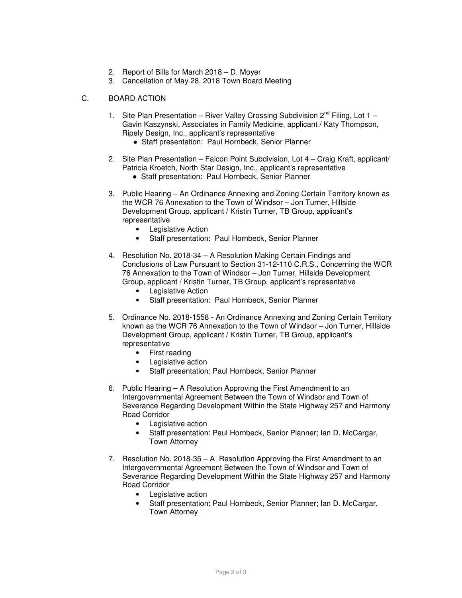- 2. Report of Bills for March 2018 D. Moyer
- 3. Cancellation of May 28, 2018 Town Board Meeting

## C. BOARD ACTION

- 1. Site Plan Presentation River Valley Crossing Subdivision  $2^{nd}$  Filing, Lot 1 Gavin Kaszynski, Associates in Family Medicine, applicant / Katy Thompson, Ripely Design, Inc., applicant's representative
	- Staff presentation: Paul Hornbeck, Senior Planner
- 2. Site Plan Presentation Falcon Point Subdivision, Lot 4 Craig Kraft, applicant/ Patricia Kroetch, North Star Design, Inc., applicant's representative
	- Staff presentation: Paul Hornbeck, Senior Planner
- 3. Public Hearing An Ordinance Annexing and Zoning Certain Territory known as the WCR 76 Annexation to the Town of Windsor – Jon Turner, Hillside Development Group, applicant / Kristin Turner, TB Group, applicant's representative
	- Legislative Action
	- Staff presentation: Paul Hornbeck, Senior Planner
- 4. Resolution No. 2018-34 A Resolution Making Certain Findings and Conclusions of Law Pursuant to Section 31-12-110 C.R.S., Concerning the WCR 76 Annexation to the Town of Windsor – Jon Turner, Hillside Development Group, applicant / Kristin Turner, TB Group, applicant's representative
	- Legislative Action
	- Staff presentation: Paul Hornbeck, Senior Planner
- 5. Ordinance No. 2018-1558 An Ordinance Annexing and Zoning Certain Territory known as the WCR 76 Annexation to the Town of Windsor – Jon Turner, Hillside Development Group, applicant / Kristin Turner, TB Group, applicant's representative
	- First reading
	- Legislative action
	- Staff presentation: Paul Hornbeck, Senior Planner
- 6. Public Hearing A Resolution Approving the First Amendment to an Intergovernmental Agreement Between the Town of Windsor and Town of Severance Regarding Development Within the State Highway 257 and Harmony Road Corridor
	- Legislative action
	- Staff presentation: Paul Hornbeck, Senior Planner; Ian D. McCargar, Town Attorney
- 7. Resolution No. 2018-35 A Resolution Approving the First Amendment to an Intergovernmental Agreement Between the Town of Windsor and Town of Severance Regarding Development Within the State Highway 257 and Harmony Road Corridor
	- Legislative action
	- Staff presentation: Paul Hornbeck, Senior Planner; Ian D. McCargar, Town Attorney